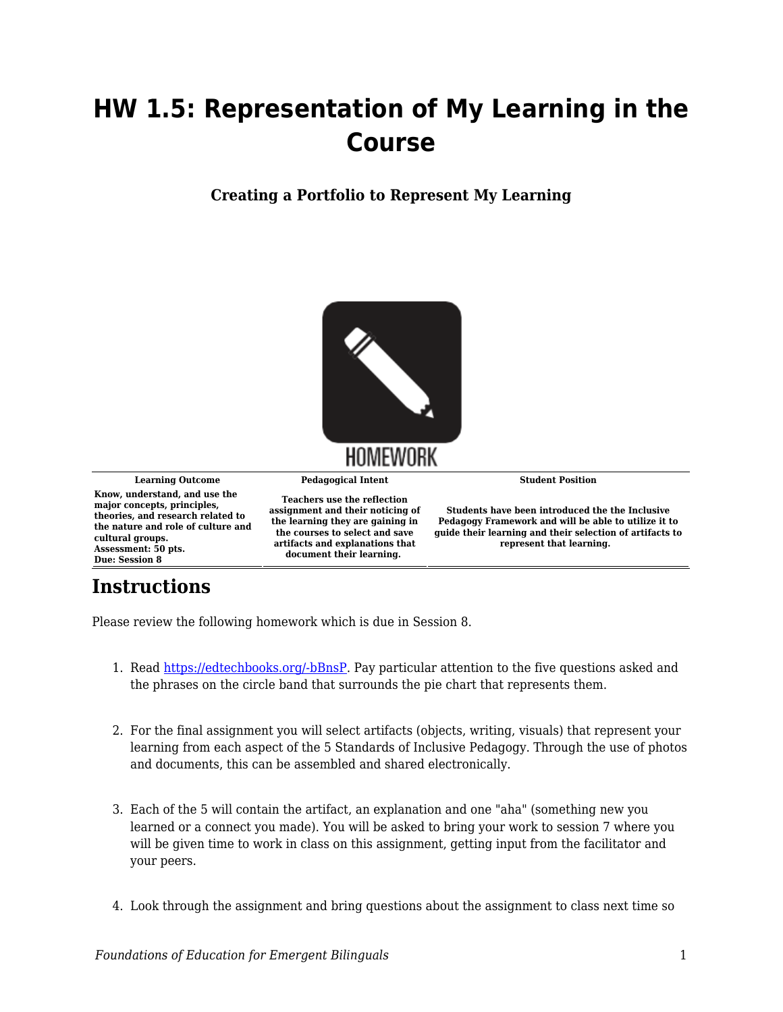## **HW 1.5: Representation of My Learning in the Course**

**Creating a Portfolio to Represent My Learning**



Please review the following homework which is due in Session 8.

- 1. Read [https://edtechbooks.org/-bBnsP](https://edtechbooks.org/ell_tools/inclusive_pedagogy_fW). Pay particular attention to the five questions asked and the phrases on the circle band that surrounds the pie chart that represents them.
- 2. For the final assignment you will select artifacts (objects, writing, visuals) that represent your learning from each aspect of the 5 Standards of Inclusive Pedagogy. Through the use of photos and documents, this can be assembled and shared electronically.
- 3. Each of the 5 will contain the artifact, an explanation and one "aha" (something new you learned or a connect you made). You will be asked to bring your work to session 7 where you will be given time to work in class on this assignment, getting input from the facilitator and your peers.
- 4. Look through the assignment and bring questions about the assignment to class next time so